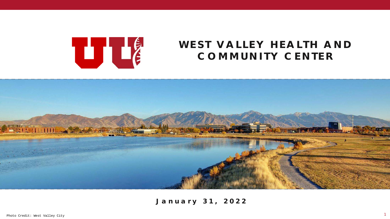

# **WEST VALLEY HEALTH AND COMMUNITY CENTER**



**January 31, 2022**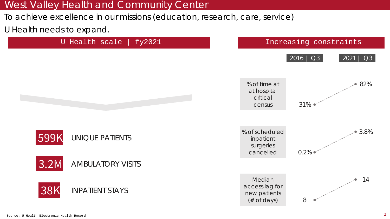To achieve excellence in our missions (education, research, care, service)

U Health needs to expand.

![](_page_1_Figure_3.jpeg)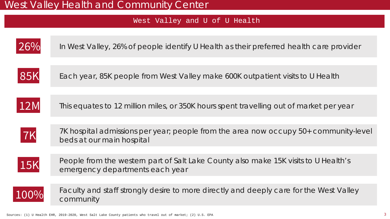#### West Valley and U of U Health

![](_page_2_Figure_2.jpeg)

In West Valley, 26% of people identify U Health as their preferred health care provider

![](_page_2_Picture_4.jpeg)

85K Each year, 85K people from West Valley make 600K outpatient visits to U Health

![](_page_2_Picture_6.jpeg)

12M This equates to 12 million miles, or 350K hours spent travelling out of market per year

![](_page_2_Picture_8.jpeg)

7K hospital admissions per year; people from the area now occupy 50+ community-level **7K** *I*<sup>K</sup> hospital admissions per<br>beds at our main hospital

![](_page_2_Picture_10.jpeg)

People from the western part of Salt Lake County also make 15K visits to U Health's **15K** People from the western part of sait

![](_page_2_Picture_12.jpeg)

Faculty and staff strongly desire to more directly and deeply care for the West Valley community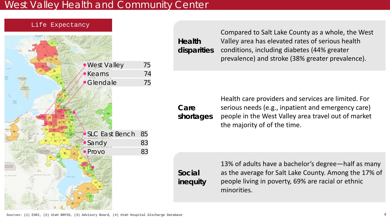**Care** 

**Social** 

**inequity**

![](_page_3_Figure_1.jpeg)

![](_page_3_Figure_2.jpeg)

**Health disparities** Compared to Salt Lake County as a whole, the West Valley area has elevated rates of serious health conditions, including diabetes (44% greater prevalence) and stroke (38% greater prevalence).

**shortages** Health care providers and services are limited. For serious needs (e.g., inpatient and emergency care) people in the West Valley area travel out of market the majority of of the time.

> 13% of adults have a bachelor's degree—half as many as the average for Salt Lake County. Among the 17% of people living in poverty, 69% are racial or ethnic minorities.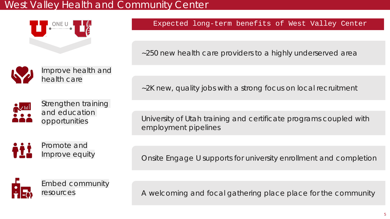![](_page_4_Picture_1.jpeg)

![](_page_4_Picture_2.jpeg)

![](_page_4_Picture_3.jpeg)

Strengthen training and education opportunities

![](_page_4_Picture_5.jpeg)

University of Utah training and certificate programs coupled with employment pipelines

Onsite *Engage U* supports for university enrollment and completion

![](_page_4_Picture_8.jpeg)

A welcoming and focal gathering place place for the community

~250 new health care providers to a highly underserved area

~2K new, quality jobs with a strong focus on local recruitment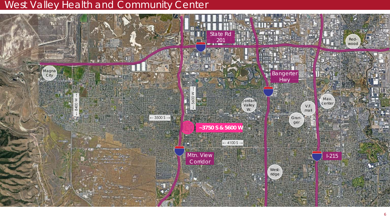![](_page_5_Picture_1.jpeg)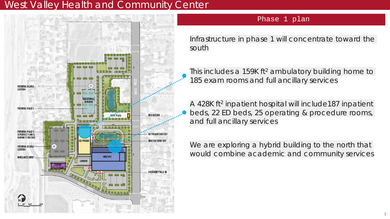![](_page_6_Figure_1.jpeg)

#### Phase 1 plan

Infrastructure in phase 1 will concentrate toward the south

This includes a 159K ft<sup>2</sup> ambulatory building home to 185 exam rooms and full ancillary services

A 428K ft<sup>2</sup> inpatient hospital will include187 inpatient beds, 22 ED beds, 25 operating & procedure rooms, and full ancillary services

We are exploring a hybrid building to the north that would combine academic and community services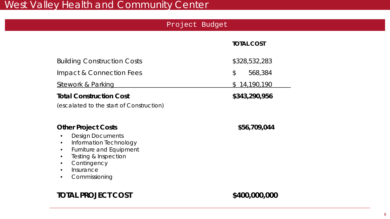|                                                                                                                                                                                                                             | Project Budget |                   |
|-----------------------------------------------------------------------------------------------------------------------------------------------------------------------------------------------------------------------------|----------------|-------------------|
|                                                                                                                                                                                                                             |                | <b>TOTAL COST</b> |
| <b>Building Construction Costs</b>                                                                                                                                                                                          |                | \$328,532,283     |
| Impact & Connection Fees                                                                                                                                                                                                    |                | \$<br>568,384     |
| <b>Sitework &amp; Parking</b>                                                                                                                                                                                               |                | \$14,190,190      |
| <b>Total Construction Cost</b><br>(escalated to the start of Construction)                                                                                                                                                  |                | \$343,290,956     |
| <b>Other Project Costs</b><br><b>Design Documents</b><br>$\bullet$<br>Information Technology<br><b>Furniture and Equipment</b><br><b>Testing &amp; Inspection</b><br>Contingency<br>Insurance<br>Commissioning<br>$\bullet$ |                | \$56,709,044      |
| <b>TOTAL PROJECT COST</b>                                                                                                                                                                                                   |                | \$400,000,000     |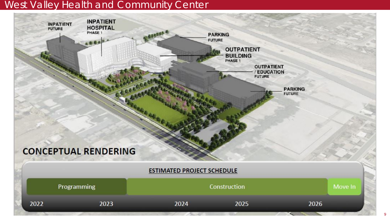![](_page_8_Figure_1.jpeg)

9